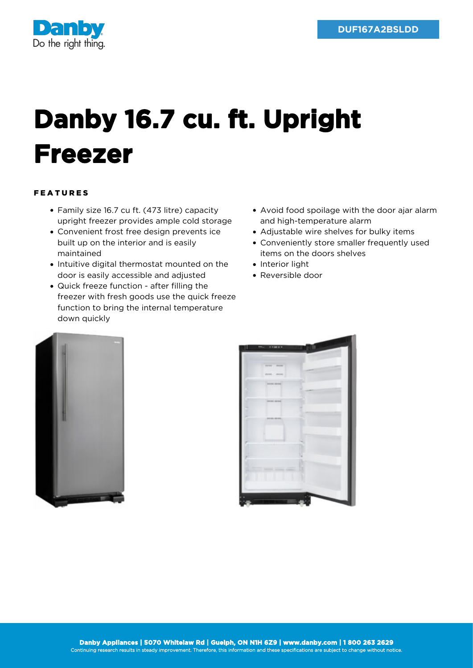

## **Danby 16.7 cu. ft. Upright Freezer**

## FEATURES

- Family size 16.7 cu ft. (473 litre) capacity upright freezer provides ample cold storage
- Convenient frost free design prevents ice built up on the interior and is easily maintained
- Intuitive digital thermostat mounted on the door is easily accessible and adjusted
- Quick freeze function after filling the freezer with fresh goods use the quick freeze function to bring the internal temperature down quickly
- Avoid food spoilage with the door ajar alarm and high-temperature alarm
- Adjustable wire shelves for bulky items
- Conveniently store smaller frequently used items on the doors shelves
- Interior light
- Reversible door